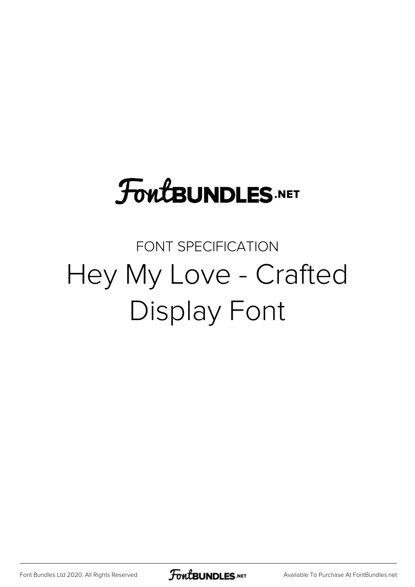# **FoutBUNDLES.NET**

## FONT SPECIFICATION Hey My Love - Crafted Display Font

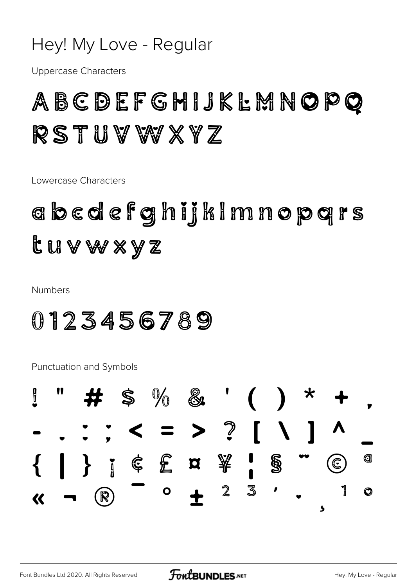#### Hey! My Love - Regular

**Uppercase Characters** 

#### ABCDEFGHIJKLMNOPO RSTUVWXYZ

Lowercase Characters

## abcdefghijkimnopqrs tuvw×yz

**Numbers** 

#### 0123456789

**Punctuation and Symbols** 

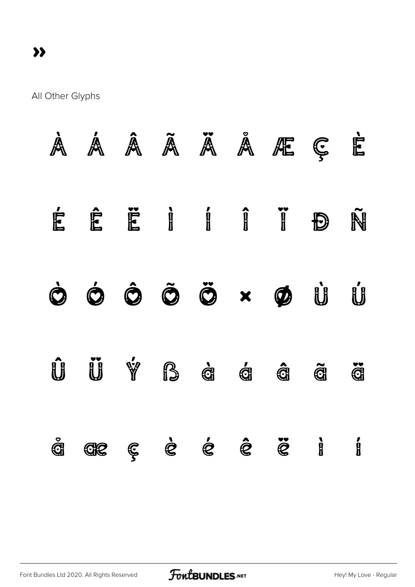All Other Glyphs